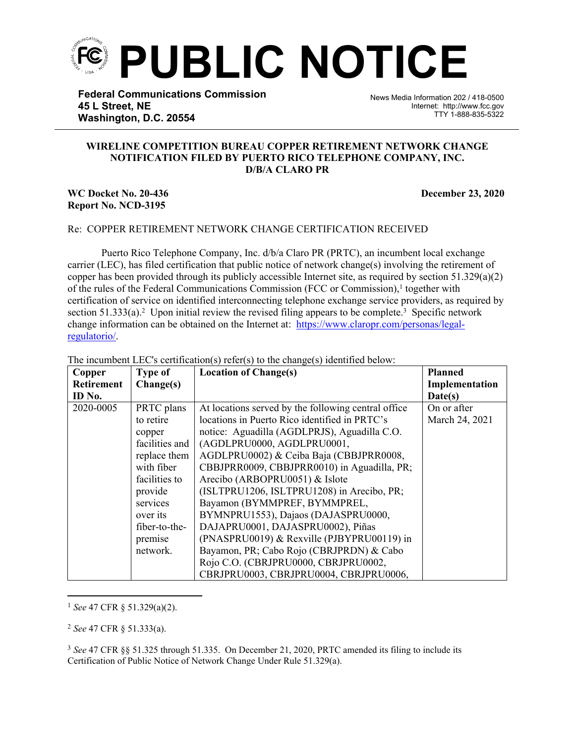

**Federal Communications Commission 45 L Street, NE Washington, D.C. 20554**

News Media Information 202 / 418-0500 Internet: http://www.fcc.gov TTY 1-888-835-5322

## **WIRELINE COMPETITION BUREAU COPPER RETIREMENT NETWORK CHANGE NOTIFICATION FILED BY PUERTO RICO TELEPHONE COMPANY, INC. D/B/A CLARO PR**

֡֡֡֡

## **WC Docket No. 20-436 December 23, 2020 Report No. NCD-3195**

## Re: COPPER RETIREMENT NETWORK CHANGE CERTIFICATION RECEIVED

Puerto Rico Telephone Company, Inc. d/b/a Claro PR (PRTC), an incumbent local exchange carrier (LEC), has filed certification that public notice of network change(s) involving the retirement of copper has been provided through its publicly accessible Internet site, as required by section  $51.329(a)(2)$ of the rules of the Federal Communications Commission (FCC or Commission),<sup>1</sup> together with certification of service on identified interconnecting telephone exchange service providers, as required by section  $51.333(a)$ .<sup>2</sup> Upon initial review the revised filing appears to be complete.<sup>3</sup> Specific network change information can be obtained on the Internet at: [https://www.claropr.com/personas/legal](https://www.claropr.com/personas/legal-regulatorio/)[regulatorio/](https://www.claropr.com/personas/legal-regulatorio/).

| Copper            | <b>Type of</b> | <b>Location of Change(s)</b>                         | <b>Planned</b> |
|-------------------|----------------|------------------------------------------------------|----------------|
| <b>Retirement</b> | Change(s)      |                                                      | Implementation |
| ID No.            |                |                                                      | Date(s)        |
| 2020-0005         | PRTC plans     | At locations served by the following central office. | On or after    |
|                   | to retire      | locations in Puerto Rico identified in PRTC's        | March 24, 2021 |
|                   | copper         | notice: Aguadilla (AGDLPRJS), Aguadilla C.O.         |                |
|                   | facilities and | (AGDLPRU0000, AGDLPRU0001,                           |                |
|                   | replace them   | AGDLPRU0002) & Ceiba Baja (CBBJPRR0008,              |                |
|                   | with fiber     | CBBJPRR0009, CBBJPRR0010) in Aguadilla, PR;          |                |
|                   | facilities to  | Arecibo (ARBOPRU0051) & Islote                       |                |
|                   | provide        | (ISLTPRU1206, ISLTPRU1208) in Arecibo, PR;           |                |
|                   | services       | Bayamon (BYMMPREF, BYMMPREL,                         |                |
|                   | over its       | BYMNPRU1553), Dajaos (DAJASPRU0000,                  |                |
|                   | fiber-to-the-  | DAJAPRU0001, DAJASPRU0002), Piñas                    |                |
|                   | premise        | $(PNASPRU0019)$ & Rexville (PJBYPRU00119) in         |                |
|                   | network.       | Bayamon, PR; Cabo Rojo (CBRJPRDN) & Cabo             |                |
|                   |                | Rojo C.O. (CBRJPRU0000, CBRJPRU0002,                 |                |
|                   |                | CBRJPRU0003, CBRJPRU0004, CBRJPRU0006,               |                |

The incumbent LEC's certification(s) refer(s) to the change(s) identified below:

<sup>1</sup> *See* 47 CFR § 51.329(a)(2).

<sup>2</sup> *See* 47 CFR § 51.333(a).

<sup>3</sup> *See* 47 CFR §§ 51.325 through 51.335. On December 21, 2020, PRTC amended its filing to include its Certification of Public Notice of Network Change Under Rule 51.329(a).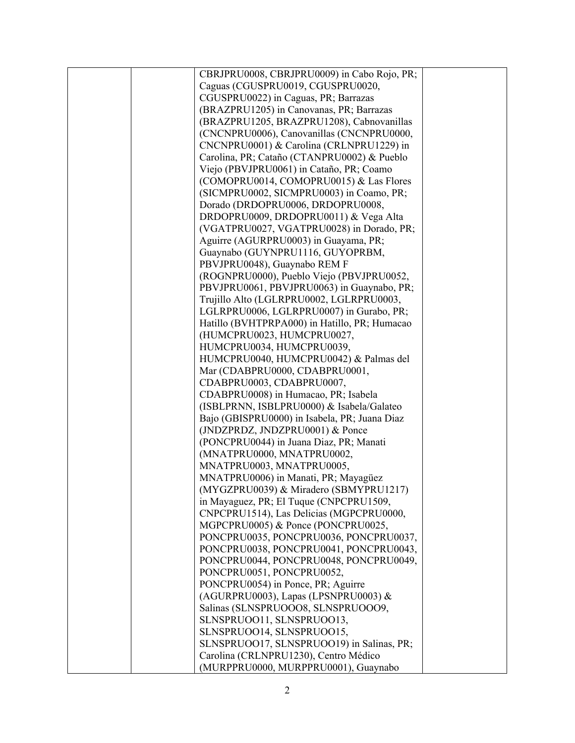|  | CBRJPRU0008, CBRJPRU0009) in Cabo Rojo, PR;   |  |
|--|-----------------------------------------------|--|
|  | Caguas (CGUSPRU0019, CGUSPRU0020,             |  |
|  | CGUSPRU0022) in Caguas, PR; Barrazas          |  |
|  | (BRAZPRU1205) in Canovanas, PR; Barrazas      |  |
|  | (BRAZPRU1205, BRAZPRU1208), Cabnovanillas     |  |
|  | (CNCNPRU0006), Canovanillas (CNCNPRU0000,     |  |
|  | CNCNPRU0001) & Carolina (CRLNPRU1229) in      |  |
|  | Carolina, PR; Cataño (CTANPRU0002) & Pueblo   |  |
|  | Viejo (PBVJPRU0061) in Cataño, PR; Coamo      |  |
|  | (COMOPRU0014, COMOPRU0015) & Las Flores       |  |
|  | (SICMPRU0002, SICMPRU0003) in Coamo, PR;      |  |
|  | Dorado (DRDOPRU0006, DRDOPRU0008,             |  |
|  |                                               |  |
|  | DRDOPRU0009, DRDOPRU0011) & Vega Alta         |  |
|  | (VGATPRU0027, VGATPRU0028) in Dorado, PR;     |  |
|  | Aguirre (AGURPRU0003) in Guayama, PR;         |  |
|  | Guaynabo (GUYNPRU1116, GUYOPRBM,              |  |
|  | PBVJPRU0048), Guaynabo REM F                  |  |
|  | (ROGNPRU0000), Pueblo Viejo (PBVJPRU0052,     |  |
|  | PBVJPRU0061, PBVJPRU0063) in Guaynabo, PR;    |  |
|  | Trujillo Alto (LGLRPRU0002, LGLRPRU0003,      |  |
|  | LGLRPRU0006, LGLRPRU0007) in Gurabo, PR;      |  |
|  | Hatillo (BVHTPRPA000) in Hatillo, PR; Humacao |  |
|  | (HUMCPRU0023, HUMCPRU0027,                    |  |
|  | HUMCPRU0034, HUMCPRU0039,                     |  |
|  | HUMCPRU0040, HUMCPRU0042) & Palmas del        |  |
|  | Mar (CDABPRU0000, CDABPRU0001,                |  |
|  | CDABPRU0003, CDABPRU0007,                     |  |
|  | CDABPRU0008) in Humacao, PR; Isabela          |  |
|  | (ISBLPRNN, ISBLPRU0000) & Isabela/Galateo     |  |
|  | Bajo (GBISPRU0000) in Isabela, PR; Juana Diaz |  |
|  | (JNDZPRDZ, JNDZPRU0001) & Ponce               |  |
|  | (PONCPRU0044) in Juana Diaz, PR; Manati       |  |
|  | (MNATPRU0000, MNATPRU0002,                    |  |
|  | MNATPRU0003, MNATPRU0005,                     |  |
|  | MNATPRU0006) in Manati, PR; Mayagüez          |  |
|  | (MYGZPRU0039) & Miradero (SBMYPRU1217)        |  |
|  | in Mayaguez, PR; El Tuque (CNPCPRU1509,       |  |
|  | CNPCPRU1514), Las Delicias (MGPCPRU0000,      |  |
|  | MGPCPRU0005) & Ponce (PONCPRU0025,            |  |
|  | PONCPRU0035, PONCPRU0036, PONCPRU0037,        |  |
|  | PONCPRU0038, PONCPRU0041, PONCPRU0043,        |  |
|  | PONCPRU0044, PONCPRU0048, PONCPRU0049,        |  |
|  | PONCPRU0051, PONCPRU0052,                     |  |
|  |                                               |  |
|  | PONCPRU0054) in Ponce, PR; Aguirre            |  |
|  | (AGURPRU0003), Lapas (LPSNPRU0003) &          |  |
|  | Salinas (SLNSPRUOOO8, SLNSPRUOOO9,            |  |
|  | SLNSPRUOO11, SLNSPRUOO13,                     |  |
|  | SLNSPRUOO14, SLNSPRUOO15,                     |  |
|  | SLNSPRUOO17, SLNSPRUOO19) in Salinas, PR;     |  |
|  | Carolina (CRLNPRU1230), Centro Médico         |  |
|  | (MURPPRU0000, MURPPRU0001), Guaynabo          |  |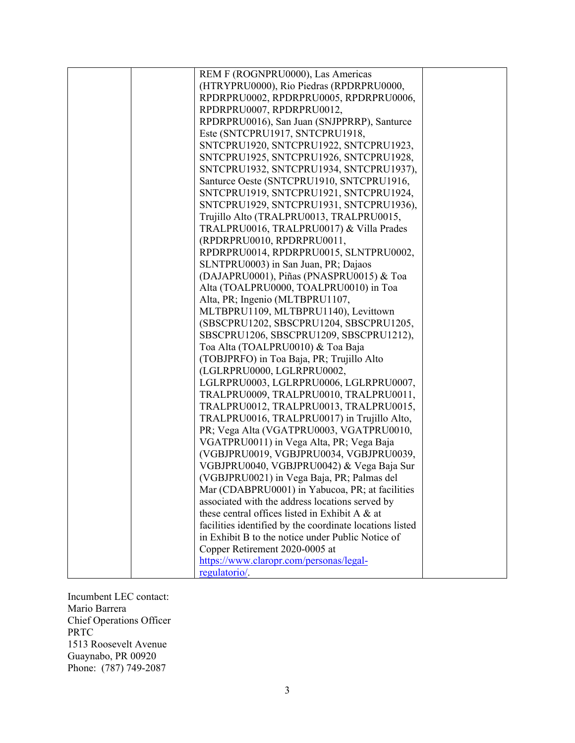| REM F (ROGNPRU0000), Las Americas                        |  |
|----------------------------------------------------------|--|
| (HTRYPRU0000), Rio Piedras (RPDRPRU0000,                 |  |
| RPDRPRU0002, RPDRPRU0005, RPDRPRU0006,                   |  |
| RPDRPRU0007, RPDRPRU0012,                                |  |
| RPDRPRU0016), San Juan (SNJPPRRP), Santurce              |  |
| Este (SNTCPRU1917, SNTCPRU1918,                          |  |
| SNTCPRU1920, SNTCPRU1922, SNTCPRU1923,                   |  |
| SNTCPRU1925, SNTCPRU1926, SNTCPRU1928,                   |  |
| SNTCPRU1932, SNTCPRU1934, SNTCPRU1937),                  |  |
| Santurce Oeste (SNTCPRU1910, SNTCPRU1916,                |  |
| SNTCPRU1919, SNTCPRU1921, SNTCPRU1924,                   |  |
| SNTCPRU1929, SNTCPRU1931, SNTCPRU1936),                  |  |
| Trujillo Alto (TRALPRU0013, TRALPRU0015,                 |  |
| TRALPRU0016, TRALPRU0017) & Villa Prades                 |  |
| (RPDRPRU0010, RPDRPRU0011,                               |  |
| RPDRPRU0014, RPDRPRU0015, SLNTPRU0002,                   |  |
| SLNTPRU0003) in San Juan, PR; Dajaos                     |  |
| (DAJAPRU0001), Piñas (PNASPRU0015) & Toa                 |  |
| Alta (TOALPRU0000, TOALPRU0010) in Toa                   |  |
| Alta, PR; Ingenio (MLTBPRU1107,                          |  |
| MLTBPRU1109, MLTBPRU1140), Levittown                     |  |
| (SBSCPRU1202, SBSCPRU1204, SBSCPRU1205,                  |  |
| SBSCPRU1206, SBSCPRU1209, SBSCPRU1212),                  |  |
| Toa Alta (TOALPRU0010) & Toa Baja                        |  |
| (TOBJPRFO) in Toa Baja, PR; Trujillo Alto                |  |
| (LGLRPRU0000, LGLRPRU0002,                               |  |
| LGLRPRU0003, LGLRPRU0006, LGLRPRU0007,                   |  |
| TRALPRU0009, TRALPRU0010, TRALPRU0011,                   |  |
| TRALPRU0012, TRALPRU0013, TRALPRU0015,                   |  |
| TRALPRU0016, TRALPRU0017) in Trujillo Alto,              |  |
| PR; Vega Alta (VGATPRU0003, VGATPRU0010,                 |  |
| VGATPRU0011) in Vega Alta, PR; Vega Baja                 |  |
| (VGBJPRU0019, VGBJPRU0034, VGBJPRU0039,                  |  |
| VGBJPRU0040, VGBJPRU0042) & Vega Baja Sur                |  |
| (VGBJPRU0021) in Vega Baja, PR; Palmas del               |  |
| Mar (CDABPRU0001) in Yabucoa, PR; at facilities          |  |
| associated with the address locations served by          |  |
| these central offices listed in Exhibit A & at           |  |
| facilities identified by the coordinate locations listed |  |
| in Exhibit B to the notice under Public Notice of        |  |
| Copper Retirement 2020-0005 at                           |  |
| https://www.claropr.com/personas/legal-                  |  |
| regulatorio/.                                            |  |

Incumbent LEC contact: Mario Barrera Chief Operations Officer PRTC 1513 Roosevelt Avenue Guaynabo, PR 00920 Phone: (787) 749-2087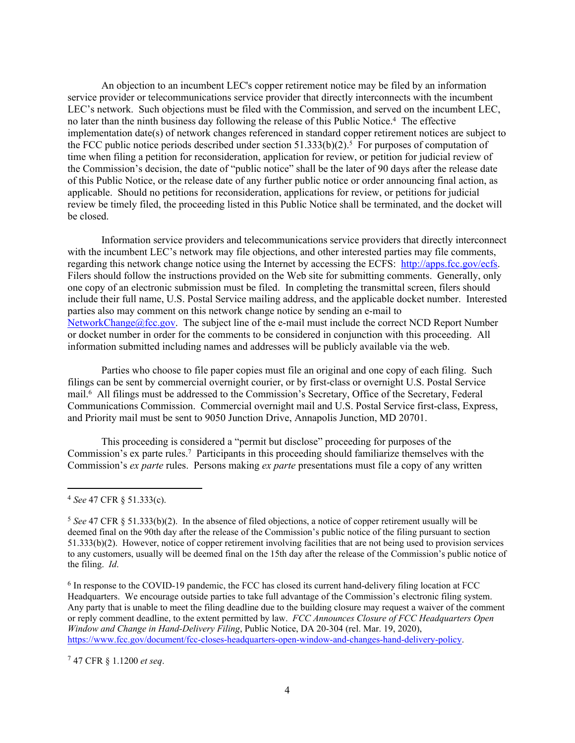An objection to an incumbent LEC's copper retirement notice may be filed by an information service provider or telecommunications service provider that directly interconnects with the incumbent LEC's network. Such objections must be filed with the Commission, and served on the incumbent LEC, no later than the ninth business day following the release of this Public Notice.<sup>4</sup> The effective implementation date(s) of network changes referenced in standard copper retirement notices are subject to the FCC public notice periods described under section  $51.333(b)(2)$ .<sup>5</sup> For purposes of computation of time when filing a petition for reconsideration, application for review, or petition for judicial review of the Commission's decision, the date of "public notice" shall be the later of 90 days after the release date of this Public Notice, or the release date of any further public notice or order announcing final action, as applicable. Should no petitions for reconsideration, applications for review, or petitions for judicial review be timely filed, the proceeding listed in this Public Notice shall be terminated, and the docket will be closed.

Information service providers and telecommunications service providers that directly interconnect with the incumbent LEC's network may file objections, and other interested parties may file comments, regarding this network change notice using the Internet by accessing the ECFS: [http://apps.fcc.gov/ecfs.](http://apps.fcc.gov/ecfs) Filers should follow the instructions provided on the Web site for submitting comments. Generally, only one copy of an electronic submission must be filed. In completing the transmittal screen, filers should include their full name, U.S. Postal Service mailing address, and the applicable docket number. Interested parties also may comment on this network change notice by sending an e-mail to [NetworkChange@fcc.gov.](mailto:NetworkChange@fcc.gov) The subject line of the e-mail must include the correct NCD Report Number or docket number in order for the comments to be considered in conjunction with this proceeding. All information submitted including names and addresses will be publicly available via the web.

Parties who choose to file paper copies must file an original and one copy of each filing. Such filings can be sent by commercial overnight courier, or by first-class or overnight U.S. Postal Service mail.<sup>6</sup> All filings must be addressed to the Commission's Secretary, Office of the Secretary, Federal Communications Commission. Commercial overnight mail and U.S. Postal Service first-class, Express, and Priority mail must be sent to 9050 Junction Drive, Annapolis Junction, MD 20701.

This proceeding is considered a "permit but disclose" proceeding for purposes of the Commission's ex parte rules.<sup>7</sup> Participants in this proceeding should familiarize themselves with the Commission's *ex parte* rules. Persons making *ex parte* presentations must file a copy of any written

<sup>7</sup> 47 CFR § 1.1200 *et seq*.

<sup>4</sup> *See* 47 CFR § 51.333(c).

<sup>&</sup>lt;sup>5</sup> See 47 CFR § 51.333(b)(2). In the absence of filed objections, a notice of copper retirement usually will be deemed final on the 90th day after the release of the Commission's public notice of the filing pursuant to section 51.333(b)(2). However, notice of copper retirement involving facilities that are not being used to provision services to any customers, usually will be deemed final on the 15th day after the release of the Commission's public notice of the filing. *Id*.

<sup>&</sup>lt;sup>6</sup> In response to the COVID-19 pandemic, the FCC has closed its current hand-delivery filing location at FCC Headquarters. We encourage outside parties to take full advantage of the Commission's electronic filing system. Any party that is unable to meet the filing deadline due to the building closure may request a waiver of the comment or reply comment deadline, to the extent permitted by law. *FCC Announces Closure of FCC Headquarters Open Window and Change in Hand-Delivery Filing*, Public Notice, DA 20-304 (rel. Mar. 19, 2020), [https://www.fcc.gov/document/fcc-closes-headquarters-open-window-and-changes-hand-delivery-policy.](https://www.fcc.gov/document/fcc-closes-headquarters-open-window-and-changes-hand-delivery-policy)